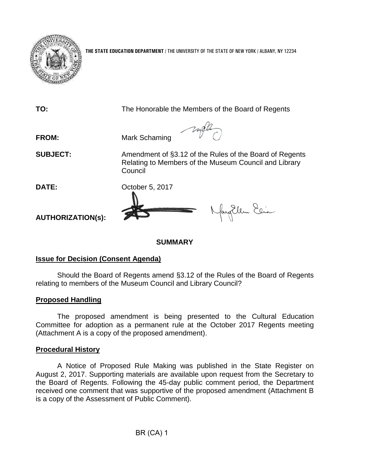

**THE STATE EDUCATION DEPARTMENT** / THE UNIVERSITY OF THE STATE OF NEW YORK / ALBANY, NY 12234

**TO:** The Honorable the Members of the Board of Regents **FROM:** Mark Schaming **SUBJECT:** Amendment of §3.12 of the Rules of the Board of Regents Relating to Members of the Museum Council and Library **Council DATE:** October 5, 2017 fayillem Elia **AUTHORIZATION(s):**

#### **SUMMARY**

#### **Issue for Decision (Consent Agenda)**

Should the Board of Regents amend §3.12 of the Rules of the Board of Regents relating to members of the Museum Council and Library Council?

# **Proposed Handling**

The proposed amendment is being presented to the Cultural Education Committee for adoption as a permanent rule at the October 2017 Regents meeting (Attachment A is a copy of the proposed amendment).

#### **Procedural History**

A Notice of Proposed Rule Making was published in the State Register on August 2, 2017. Supporting materials are available upon request from the Secretary to the Board of Regents. Following the 45-day public comment period, the Department received one comment that was supportive of the proposed amendment (Attachment B is a copy of the Assessment of Public Comment).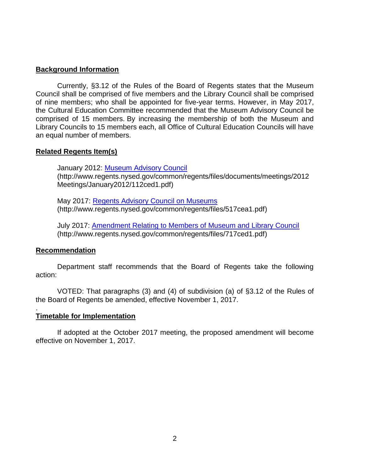### **Background Information**

Currently, §3.12 of the Rules of the Board of Regents states that the Museum Council shall be comprised of five members and the Library Council shall be comprised of nine members; who shall be appointed for five-year terms. However, in May 2017, the Cultural Education Committee recommended that the Museum Advisory Council be comprised of 15 members. By increasing the membership of both the Museum and Library Councils to 15 members each, all Office of Cultural Education Councils will have an equal number of members.

#### **Related Regents Item(s)**

January 2012: [Museum Advisory Council](http://www.regents.nysed.gov/common/regents/files/documents/meetings/2012Meetings/January2012/112ced1.pdf) (http://www.regents.nysed.gov/common/regents/files/documents/meetings/2012 Meetings/January2012/112ced1.pdf)

May 2017: [Regents Advisory Council on Museums](http://www.regents.nysed.gov/common/regents/files/517cea1.pdf) (http://www.regents.nysed.gov/common/regents/files/517cea1.pdf)

July 2017: [Amendment Relating to Members of Museum and Library Council](http://www.regents.nysed.gov/common/regents/files/717ced1.pdf) (http://www.regents.nysed.gov/common/regents/files/717ced1.pdf)

#### **Recommendation**

.

Department staff recommends that the Board of Regents take the following action:

VOTED: That paragraphs (3) and (4) of subdivision (a) of §3.12 of the Rules of the Board of Regents be amended, effective November 1, 2017.

#### **Timetable for Implementation**

If adopted at the October 2017 meeting, the proposed amendment will become effective on November 1, 2017.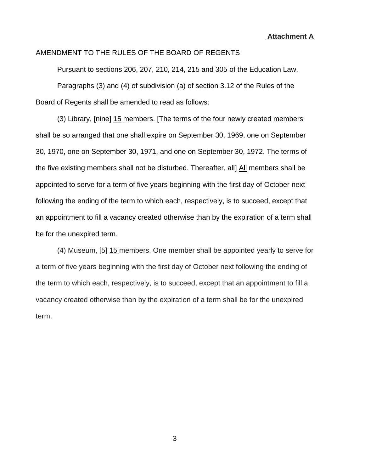**Attachment A**

# AMENDMENT TO THE RULES OF THE BOARD OF REGENTS

Pursuant to sections 206, 207, 210, 214, 215 and 305 of the Education Law. Paragraphs (3) and (4) of subdivision (a) of section 3.12 of the Rules of the Board of Regents shall be amended to read as follows:

(3) Library, [nine] 15 members. [The terms of the four newly created members shall be so arranged that one shall expire on September 30, 1969, one on September 30, 1970, one on September 30, 1971, and one on September 30, 1972. The terms of the five existing members shall not be disturbed. Thereafter, all] All members shall be appointed to serve for a term of five years beginning with the first day of October next following the ending of the term to which each, respectively, is to succeed, except that an appointment to fill a vacancy created otherwise than by the expiration of a term shall be for the unexpired term.

(4) Museum, [5] 15 members. One member shall be appointed yearly to serve for a term of five years beginning with the first day of October next following the ending of the term to which each, respectively, is to succeed, except that an appointment to fill a vacancy created otherwise than by the expiration of a term shall be for the unexpired term.

3